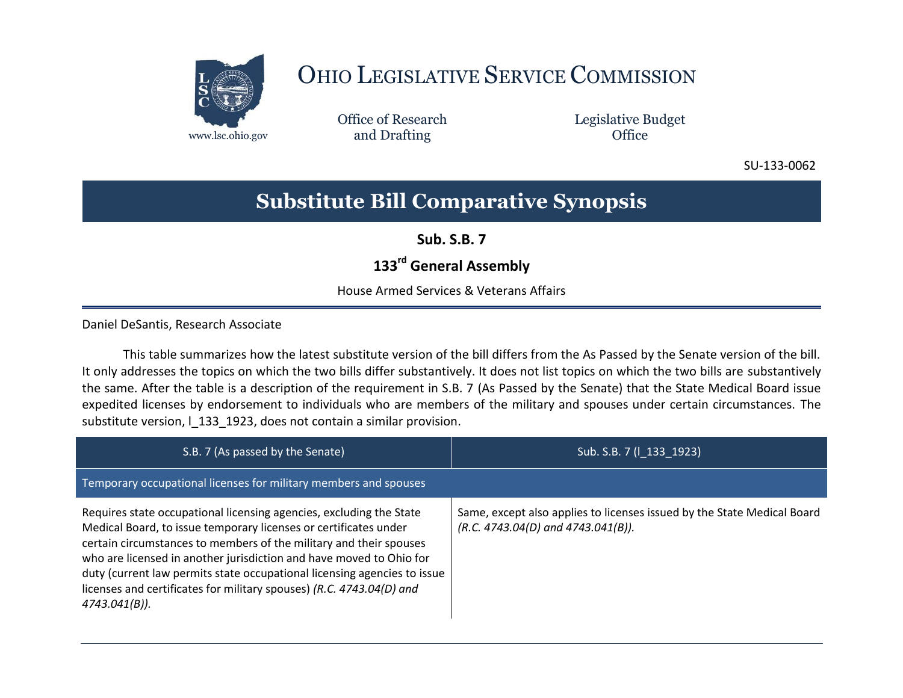

# OHIO LEGISLATIVE SERVICE COMMISSION

Office of Research www.lsc.ohio.gov and Drafting Control of Control of the Control of Control of the Control of Control of the Control of the Control of the Control of the Control of the Control of the Control of the Control of the Control o

Legislative Budget

SU-133-0062

## **Substitute Bill Comparative Synopsis**

**Sub. S.B. 7**

### **133rd General Assembly**

House Armed Services & Veterans Affairs

Daniel DeSantis, Research Associate

This table summarizes how the latest substitute version of the bill differs from the As Passed by the Senate version of the bill. It only addresses the topics on which the two bills differ substantively. It does not list topics on which the two bills are substantively the same. After the table is a description of the requirement in S.B. 7 (As Passed by the Senate) that the State Medical Board issue expedited licenses by endorsement to individuals who are members of the military and spouses under certain circumstances. The substitute version, I 133 1923, does not contain a similar provision.

| S.B. 7 (As passed by the Senate)                                                                                                                                                                                                                                                                                                                                                                                                                             | Sub. S.B. 7 (1_133_1923)                                                                                           |
|--------------------------------------------------------------------------------------------------------------------------------------------------------------------------------------------------------------------------------------------------------------------------------------------------------------------------------------------------------------------------------------------------------------------------------------------------------------|--------------------------------------------------------------------------------------------------------------------|
| Temporary occupational licenses for military members and spouses                                                                                                                                                                                                                                                                                                                                                                                             |                                                                                                                    |
| Requires state occupational licensing agencies, excluding the State<br>Medical Board, to issue temporary licenses or certificates under<br>certain circumstances to members of the military and their spouses<br>who are licensed in another jurisdiction and have moved to Ohio for<br>duty (current law permits state occupational licensing agencies to issue<br>licenses and certificates for military spouses) (R.C. 4743.04(D) and<br>$4743.041(B)$ ). | Same, except also applies to licenses issued by the State Medical Board<br>$(R.C. 4743.04(D)$ and $4743.041(B)$ ). |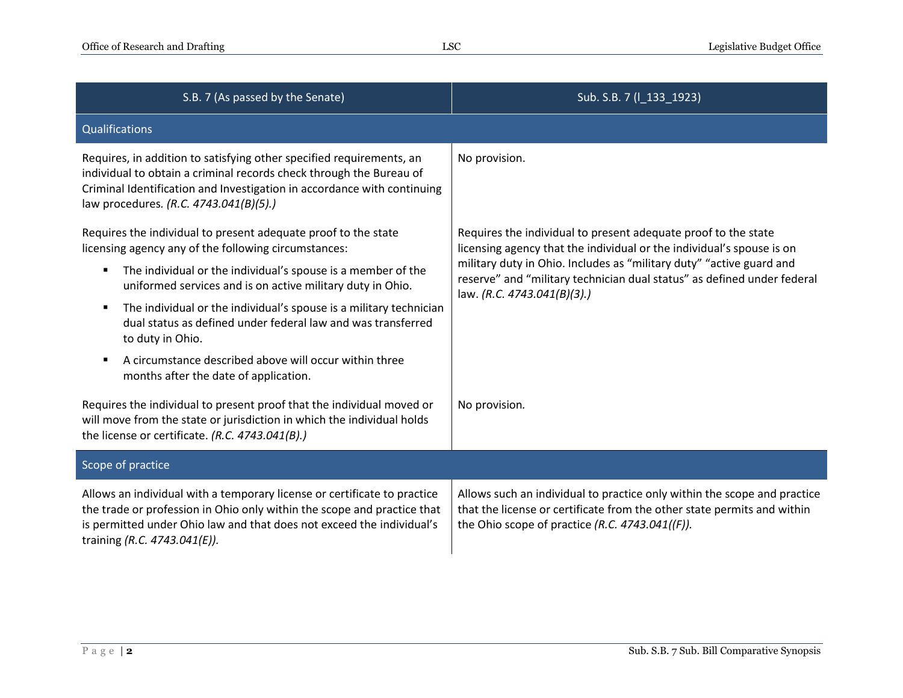| S.B. 7 (As passed by the Senate)                                                                                                                                                                                                                                 | Sub. S.B. 7 (I_133_1923)                                                                                                                                                                                                                                                                                                  |
|------------------------------------------------------------------------------------------------------------------------------------------------------------------------------------------------------------------------------------------------------------------|---------------------------------------------------------------------------------------------------------------------------------------------------------------------------------------------------------------------------------------------------------------------------------------------------------------------------|
| Qualifications                                                                                                                                                                                                                                                   |                                                                                                                                                                                                                                                                                                                           |
| Requires, in addition to satisfying other specified requirements, an<br>individual to obtain a criminal records check through the Bureau of<br>Criminal Identification and Investigation in accordance with continuing<br>law procedures. (R.C. 4743.041(B)(5).) | No provision.                                                                                                                                                                                                                                                                                                             |
| Requires the individual to present adequate proof to the state<br>licensing agency any of the following circumstances:                                                                                                                                           | Requires the individual to present adequate proof to the state<br>licensing agency that the individual or the individual's spouse is on<br>military duty in Ohio. Includes as "military duty" "active guard and<br>reserve" and "military technician dual status" as defined under federal<br>law. (R.C. 4743.041(B)(3).) |
| The individual or the individual's spouse is a member of the<br>٠<br>uniformed services and is on active military duty in Ohio.                                                                                                                                  |                                                                                                                                                                                                                                                                                                                           |
| The individual or the individual's spouse is a military technician<br>٠<br>dual status as defined under federal law and was transferred<br>to duty in Ohio.                                                                                                      |                                                                                                                                                                                                                                                                                                                           |
| A circumstance described above will occur within three<br>п<br>months after the date of application.                                                                                                                                                             |                                                                                                                                                                                                                                                                                                                           |
| Requires the individual to present proof that the individual moved or<br>will move from the state or jurisdiction in which the individual holds<br>the license or certificate. (R.C. 4743.041(B).)                                                               | No provision.                                                                                                                                                                                                                                                                                                             |
| Scope of practice                                                                                                                                                                                                                                                |                                                                                                                                                                                                                                                                                                                           |
| Allows an individual with a temporary license or certificate to practice<br>the trade or profession in Ohio only within the scope and practice that<br>is permitted under Ohio law and that does not exceed the individual's<br>training (R.C. 4743.041(E)).     | Allows such an individual to practice only within the scope and practice<br>that the license or certificate from the other state permits and within<br>the Ohio scope of practice (R.C. $4743.041((F))$ .                                                                                                                 |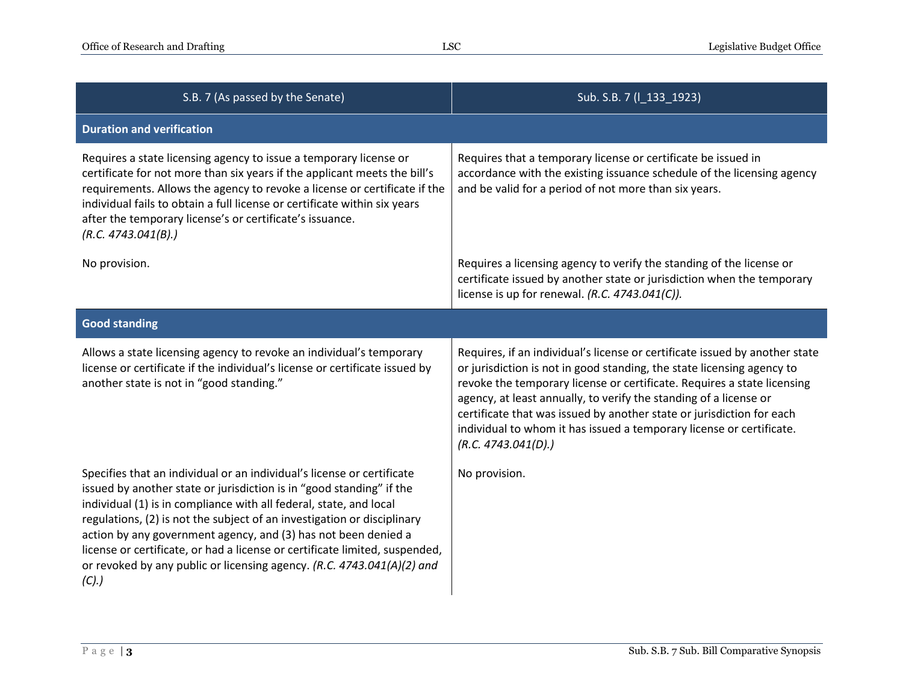| S.B. 7 (As passed by the Senate)                                                                                                                                                                                                                                                                                                                                                                                                                                                                                                   | Sub. S.B. 7 (I_133_1923)                                                                                                                                                                                                                                                                                                                                                                                                                                                      |  |
|------------------------------------------------------------------------------------------------------------------------------------------------------------------------------------------------------------------------------------------------------------------------------------------------------------------------------------------------------------------------------------------------------------------------------------------------------------------------------------------------------------------------------------|-------------------------------------------------------------------------------------------------------------------------------------------------------------------------------------------------------------------------------------------------------------------------------------------------------------------------------------------------------------------------------------------------------------------------------------------------------------------------------|--|
| <b>Duration and verification</b>                                                                                                                                                                                                                                                                                                                                                                                                                                                                                                   |                                                                                                                                                                                                                                                                                                                                                                                                                                                                               |  |
| Requires a state licensing agency to issue a temporary license or<br>certificate for not more than six years if the applicant meets the bill's<br>requirements. Allows the agency to revoke a license or certificate if the<br>individual fails to obtain a full license or certificate within six years<br>after the temporary license's or certificate's issuance.<br>(R.C. 4743.041(B).)                                                                                                                                        | Requires that a temporary license or certificate be issued in<br>accordance with the existing issuance schedule of the licensing agency<br>and be valid for a period of not more than six years.                                                                                                                                                                                                                                                                              |  |
| No provision.                                                                                                                                                                                                                                                                                                                                                                                                                                                                                                                      | Requires a licensing agency to verify the standing of the license or<br>certificate issued by another state or jurisdiction when the temporary<br>license is up for renewal. (R.C. $4743.041(C)$ ).                                                                                                                                                                                                                                                                           |  |
| <b>Good standing</b>                                                                                                                                                                                                                                                                                                                                                                                                                                                                                                               |                                                                                                                                                                                                                                                                                                                                                                                                                                                                               |  |
| Allows a state licensing agency to revoke an individual's temporary<br>license or certificate if the individual's license or certificate issued by<br>another state is not in "good standing."                                                                                                                                                                                                                                                                                                                                     | Requires, if an individual's license or certificate issued by another state<br>or jurisdiction is not in good standing, the state licensing agency to<br>revoke the temporary license or certificate. Requires a state licensing<br>agency, at least annually, to verify the standing of a license or<br>certificate that was issued by another state or jurisdiction for each<br>individual to whom it has issued a temporary license or certificate.<br>(R.C. 4743.041(D).) |  |
| Specifies that an individual or an individual's license or certificate<br>issued by another state or jurisdiction is in "good standing" if the<br>individual (1) is in compliance with all federal, state, and local<br>regulations, (2) is not the subject of an investigation or disciplinary<br>action by any government agency, and (3) has not been denied a<br>license or certificate, or had a license or certificate limited, suspended,<br>or revoked by any public or licensing agency. (R.C. 4743.041(A)(2) and<br>(C). | No provision.                                                                                                                                                                                                                                                                                                                                                                                                                                                                 |  |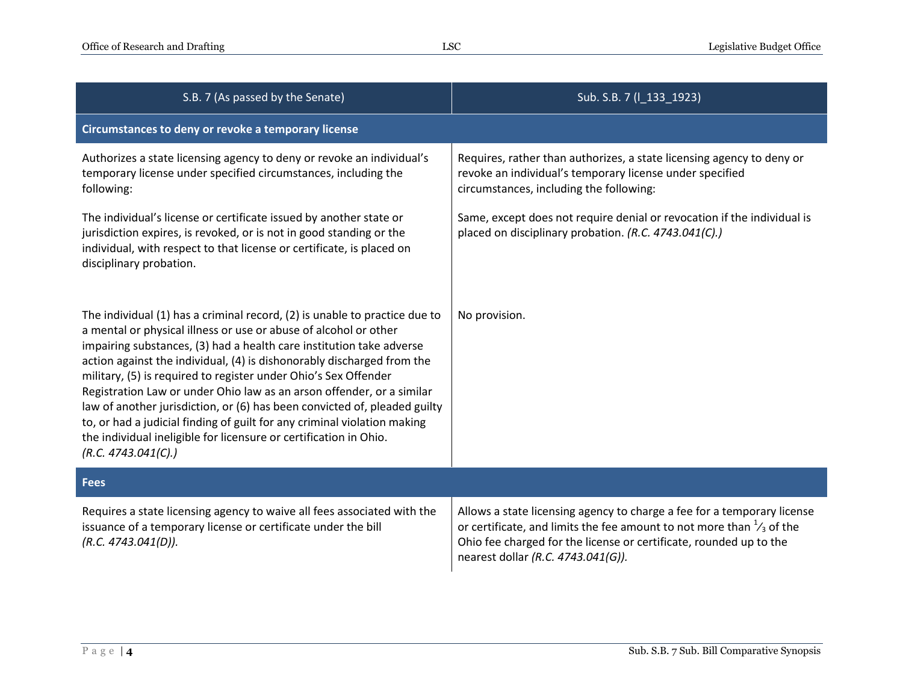| S.B. 7 (As passed by the Senate)                                                                                                                                                                                                                                                                                                                                                                                                                                                                                                                                                                                                                                                                  | Sub. S.B. 7 (I_133_1923)                                                                                                                                                                                                                                               |  |
|---------------------------------------------------------------------------------------------------------------------------------------------------------------------------------------------------------------------------------------------------------------------------------------------------------------------------------------------------------------------------------------------------------------------------------------------------------------------------------------------------------------------------------------------------------------------------------------------------------------------------------------------------------------------------------------------------|------------------------------------------------------------------------------------------------------------------------------------------------------------------------------------------------------------------------------------------------------------------------|--|
| Circumstances to deny or revoke a temporary license                                                                                                                                                                                                                                                                                                                                                                                                                                                                                                                                                                                                                                               |                                                                                                                                                                                                                                                                        |  |
| Authorizes a state licensing agency to deny or revoke an individual's<br>temporary license under specified circumstances, including the<br>following:                                                                                                                                                                                                                                                                                                                                                                                                                                                                                                                                             | Requires, rather than authorizes, a state licensing agency to deny or<br>revoke an individual's temporary license under specified<br>circumstances, including the following:                                                                                           |  |
| The individual's license or certificate issued by another state or<br>jurisdiction expires, is revoked, or is not in good standing or the<br>individual, with respect to that license or certificate, is placed on<br>disciplinary probation.                                                                                                                                                                                                                                                                                                                                                                                                                                                     | Same, except does not require denial or revocation if the individual is<br>placed on disciplinary probation. (R.C. 4743.041(C).)                                                                                                                                       |  |
| The individual (1) has a criminal record, (2) is unable to practice due to<br>a mental or physical illness or use or abuse of alcohol or other<br>impairing substances, (3) had a health care institution take adverse<br>action against the individual, (4) is dishonorably discharged from the<br>military, (5) is required to register under Ohio's Sex Offender<br>Registration Law or under Ohio law as an arson offender, or a similar<br>law of another jurisdiction, or (6) has been convicted of, pleaded guilty<br>to, or had a judicial finding of guilt for any criminal violation making<br>the individual ineligible for licensure or certification in Ohio.<br>(R.C. 4743.041(C).) | No provision.                                                                                                                                                                                                                                                          |  |
| <b>Fees</b>                                                                                                                                                                                                                                                                                                                                                                                                                                                                                                                                                                                                                                                                                       |                                                                                                                                                                                                                                                                        |  |
| Requires a state licensing agency to waive all fees associated with the<br>issuance of a temporary license or certificate under the bill<br>(R.C. 4743.041(D)).                                                                                                                                                                                                                                                                                                                                                                                                                                                                                                                                   | Allows a state licensing agency to charge a fee for a temporary license<br>or certificate, and limits the fee amount to not more than $\frac{1}{3}$ of the<br>Ohio fee charged for the license or certificate, rounded up to the<br>nearest dollar (R.C. 4743.041(G)). |  |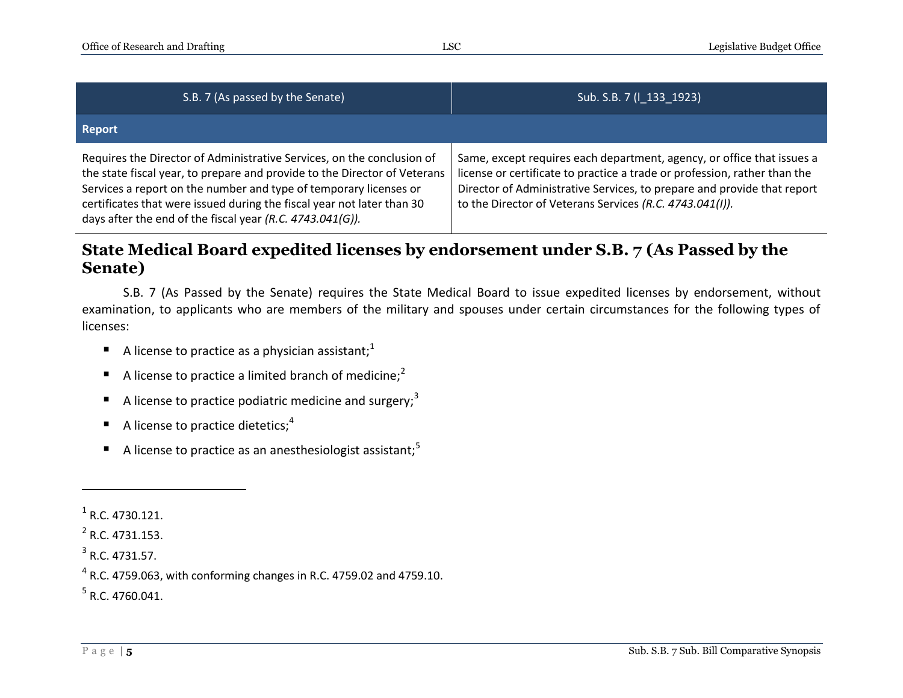| S.B. 7 (As passed by the Senate)                                                                                                                                                                                                                                                                                                                                | Sub. S.B. 7 (I_133_1923)                                                                                                                                                                                                                                                                   |
|-----------------------------------------------------------------------------------------------------------------------------------------------------------------------------------------------------------------------------------------------------------------------------------------------------------------------------------------------------------------|--------------------------------------------------------------------------------------------------------------------------------------------------------------------------------------------------------------------------------------------------------------------------------------------|
| <b>Report</b>                                                                                                                                                                                                                                                                                                                                                   |                                                                                                                                                                                                                                                                                            |
| Requires the Director of Administrative Services, on the conclusion of<br>the state fiscal year, to prepare and provide to the Director of Veterans<br>Services a report on the number and type of temporary licenses or<br>certificates that were issued during the fiscal year not later than 30<br>days after the end of the fiscal year (R.C. 4743.041(G)). | Same, except requires each department, agency, or office that issues a<br>license or certificate to practice a trade or profession, rather than the<br>Director of Administrative Services, to prepare and provide that report<br>to the Director of Veterans Services (R.C. 4743.041(I)). |

### **State Medical Board expedited licenses by endorsement under S.B. 7 (As Passed by the Senate)**

S.B. 7 (As Passed by the Senate) requires the State Medical Board to issue expedited licenses by endorsement, without examination, to applicants who are members of the military and spouses under certain circumstances for the following types of licenses:

- A license to practice as a physician assistant;<sup>1</sup>
- A license to practice a limited branch of medicine;<sup>2</sup>
- A license to practice podiatric medicine and surgery;<sup>3</sup>
- A license to practice dietetics;<sup>4</sup>
- A license to practice as an anesthesiologist assistant;<sup>5</sup>

 $\overline{a}$ 

 $^{4}$  R.C. 4759.063, with conforming changes in R.C. 4759.02 and 4759.10.

 $<sup>5</sup>$  R.C. 4760.041.</sup>

 $<sup>1</sup>$  R.C. 4730.121.</sup>

 $2$  R.C. 4731.153.

 $3$  R.C. 4731.57.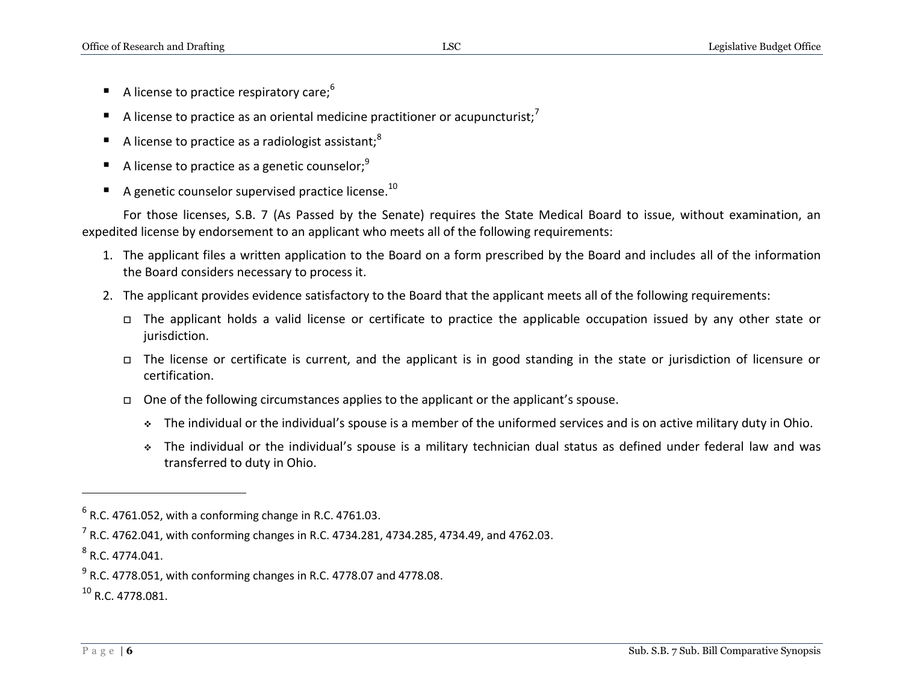- A license to practice respiratory care;<sup>6</sup>
- A license to practice as an oriental medicine practitioner or acupuncturist;<sup>7</sup>
- A license to practice as a radiologist assistant;<sup>8</sup>
- A license to practice as a genetic counselor;<sup>9</sup>
- A genetic counselor supervised practice license.<sup>10</sup>

For those licenses, S.B. 7 (As Passed by the Senate) requires the State Medical Board to issue, without examination, an expedited license by endorsement to an applicant who meets all of the following requirements:

- 1. The applicant files a written application to the Board on a form prescribed by the Board and includes all of the information the Board considers necessary to process it.
- 2. The applicant provides evidence satisfactory to the Board that the applicant meets all of the following requirements:
	- The applicant holds a valid license or certificate to practice the applicable occupation issued by any other state or jurisdiction.
	- The license or certificate is current, and the applicant is in good standing in the state or jurisdiction of licensure or certification.
	- One of the following circumstances applies to the applicant or the applicant's spouse.
		- The individual or the individual's spouse is a member of the uniformed services and is on active military duty in Ohio.
		- The individual or the individual's spouse is a military technician dual status as defined under federal law and was transferred to duty in Ohio.

 $\overline{a}$ 

 $<sup>6</sup>$  R.C. 4761.052, with a conforming change in R.C. 4761.03.</sup>

 $^{7}$  R.C. 4762.041, with conforming changes in R.C. 4734.281, 4734.285, 4734.49, and 4762.03.

 $^8$  R.C. 4774.041.

 $^{9}$  R.C. 4778.051, with conforming changes in R.C. 4778.07 and 4778.08.

 $10$  R.C. 4778.081.